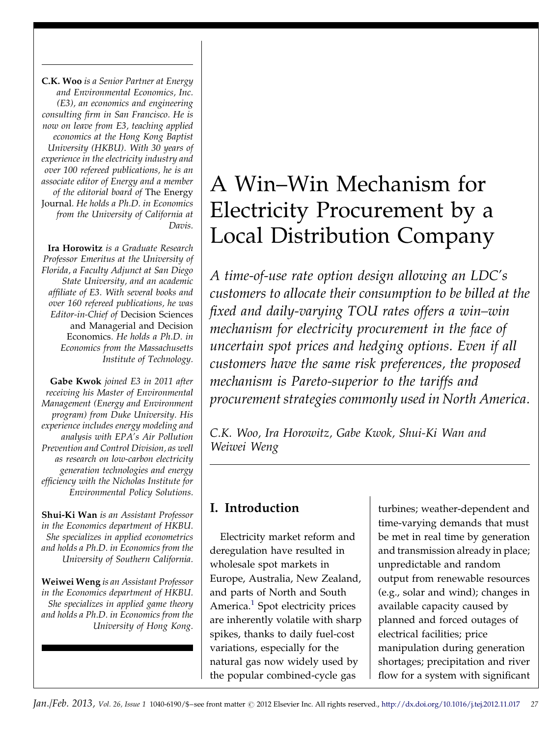C.K. Woo is a Senior Partner at Energy and Environmental Economics, Inc. (E3), an economics and engineering consulting firm in San Francisco. He is now on leave from E3, teaching applied economics at the Hong Kong Baptist University (HKBU). With 30 years of experience in the electricity industry and over 100 refereed publications, he is an associate editor of Energy and a member of the editorial board of The Energy Journal. He holds a Ph.D. in Economics from the University of California at Davis.

Ira Horowitz is a Graduate Research Professor Emeritus at the University of Florida, a Faculty Adjunct at San Diego State University, and an academic affiliate of E3. With several books and over 160 refereed publications, he was Editor-in-Chief of Decision Sciences and Managerial and Decision Economics. He holds a Ph.D. in Economics from the Massachusetts Institute of Technology.

Gabe Kwok joined E3 in 2011 after receiving his Master of Environmental Management (Energy and Environment program) from Duke University. His experience includes energy modeling and analysis with EPA's Air Pollution Prevention and Control Division, as well as research on low-carbon electricity generation technologies and energy efficiency with the Nicholas Institute for Environmental Policy Solutions.

Shui-Ki Wan is an Assistant Professor in the Economics department of HKBU. She specializes in applied econometrics and holds a Ph.D. in Economics from the University of Southern California.

Weiwei Weng is an Assistant Professor in the Economics department of HKBU. She specializes in applied game theory and holds a Ph.D. in Economics from the University of Hong Kong.

## A Win–Win Mechanism for Electricity Procurement by a Local Distribution Company

A time-of-use rate option design allowing an LDC's customers to allocate their consumption to be billed at the fixed and daily-varying TOU rates offers a win–win mechanism for electricity procurement in the face of uncertain spot prices and hedging options. Even if all customers have the same risk preferences, the proposed mechanism is Pareto-superior to the tariffs and procurement strategies commonly used in North America.

C.K. Woo, Ira Horowitz, Gabe Kwok, Shui-Ki Wan and Weiwei Weng

## I. Introduction

Electricity market reform and deregulation have resulted in wholesale spot markets in Europe, Australia, New Zealand, and parts of North and South America.<sup>1</sup> Spot electricity prices are inherently volatile with sharp spikes, thanks to daily fuel-cost variations, especially for the natural gas now widely used by the popular combined-cycle gas

turbines; weather-dependent and time-varying demands that must be met in real time by generation and transmission already in place; unpredictable and random output from renewable resources (e.g., solar and wind); changes in available capacity caused by planned and forced outages of electrical facilities; price manipulation during generation shortages; precipitation and river flow for a system with significant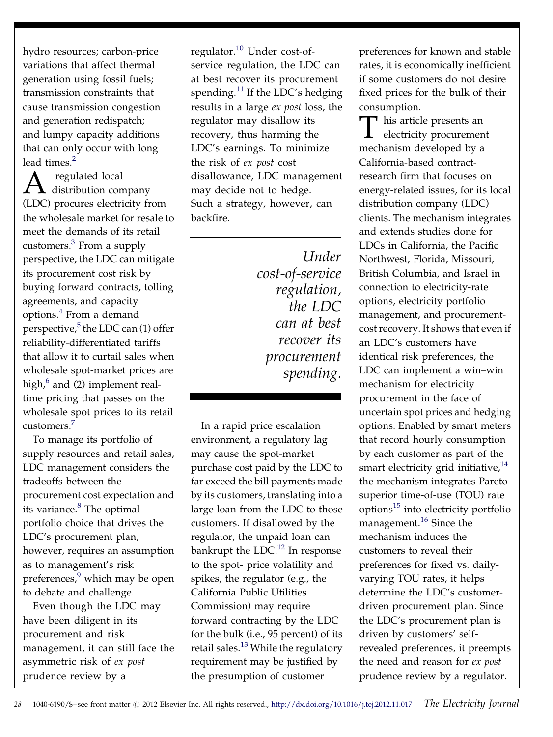hydro resources; carbon-price variations that affect thermal generation using fossil fuels; transmission constraints that cause transmission congestion and generation redispatch; and lumpy capacity additions that can only occur with long lead times.<sup>[2](#page--1-0)</sup>

 $A$  regulated local<br> $A$  distribution company (LDC) procures electricity from the wholesale market for resale to meet the demands of its retail customers.[3](#page--1-0) From a supply perspective, the LDC can mitigate its procurement cost risk by buying forward contracts, tolling agreements, and capacity options.[4](#page--1-0) From a demand perspective, $5$  the LDC can (1) offer reliability-differentiated tariffs that allow it to curtail sales when wholesale spot-market prices are high, $6$  and (2) implement realtime pricing that passes on the wholesale spot prices to its retail customers.[7](#page--1-0)

To manage its portfolio of supply resources and retail sales, LDC management considers the tradeoffs between the procurement cost expectation and its variance.<sup>8</sup> The optimal portfolio choice that drives the LDC's procurement plan, however, requires an assumption as to management's risk preferences,<sup>9</sup> which may be open to debate and challenge.

Even though the LDC may have been diligent in its procurement and risk management, it can still face the asymmetric risk of ex post prudence review by a

regulator.[10](#page--1-0) Under cost-ofservice regulation, the LDC can at best recover its procurement spending.<sup>[11](#page--1-0)</sup> If the LDC's hedging results in a large ex post loss, the regulator may disallow its recovery, thus harming the LDC's earnings. To minimize the risk of ex post cost disallowance, LDC management may decide not to hedge. Such a strategy, however, can backfire.

> Under cost-of-service regulation, the LDC can at best recover its procurement spending.

In a rapid price escalation environment, a regulatory lag may cause the spot-market purchase cost paid by the LDC to far exceed the bill payments made by its customers, translating into a large loan from the LDC to those customers. If disallowed by the regulator, the unpaid loan can bankrupt the LDC. $^{12}$  $^{12}$  $^{12}$  In response to the spot- price volatility and spikes, the regulator (e.g., the California Public Utilities Commission) may require forward contracting by the LDC for the bulk (i.e., 95 percent) of its retail sales.<sup>13</sup> While the regulatory requirement may be justified by the presumption of customer

preferences for known and stable rates, it is economically inefficient if some customers do not desire fixed prices for the bulk of their consumption.

T his article presents an<br>electricity procurement electricity procurement mechanism developed by a California-based contractresearch firm that focuses on energy-related issues, for its local distribution company (LDC) clients. The mechanism integrates and extends studies done for LDCs in California, the Pacific Northwest, Florida, Missouri, British Columbia, and Israel in connection to electricity-rate options, electricity portfolio management, and procurementcost recovery. It shows that even if an LDC's customers have identical risk preferences, the LDC can implement a win–win mechanism for electricity procurement in the face of uncertain spot prices and hedging options. Enabled by smart meters that record hourly consumption by each customer as part of the smart electricity grid initiative,<sup>14</sup> the mechanism integrates Paretosuperior time-of-use (TOU) rate  $options<sup>15</sup>$  into electricity portfolio management. $16$  Since the mechanism induces the customers to reveal their preferences for fixed vs. dailyvarying TOU rates, it helps determine the LDC's customerdriven procurement plan. Since the LDC's procurement plan is driven by customers' selfrevealed preferences, it preempts the need and reason for ex post prudence review by a regulator.